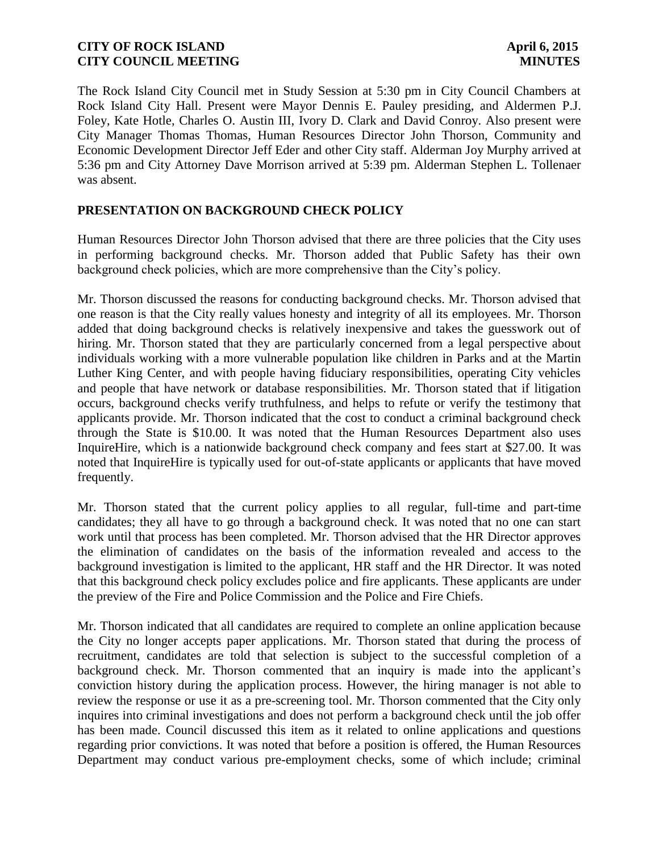The Rock Island City Council met in Study Session at 5:30 pm in City Council Chambers at Rock Island City Hall. Present were Mayor Dennis E. Pauley presiding, and Aldermen P.J. Foley, Kate Hotle, Charles O. Austin III, Ivory D. Clark and David Conroy. Also present were City Manager Thomas Thomas, Human Resources Director John Thorson, Community and Economic Development Director Jeff Eder and other City staff. Alderman Joy Murphy arrived at 5:36 pm and City Attorney Dave Morrison arrived at 5:39 pm. Alderman Stephen L. Tollenaer was absent.

## **PRESENTATION ON BACKGROUND CHECK POLICY**

Human Resources Director John Thorson advised that there are three policies that the City uses in performing background checks. Mr. Thorson added that Public Safety has their own background check policies, which are more comprehensive than the City's policy.

Mr. Thorson discussed the reasons for conducting background checks. Mr. Thorson advised that one reason is that the City really values honesty and integrity of all its employees. Mr. Thorson added that doing background checks is relatively inexpensive and takes the guesswork out of hiring. Mr. Thorson stated that they are particularly concerned from a legal perspective about individuals working with a more vulnerable population like children in Parks and at the Martin Luther King Center, and with people having fiduciary responsibilities, operating City vehicles and people that have network or database responsibilities. Mr. Thorson stated that if litigation occurs, background checks verify truthfulness, and helps to refute or verify the testimony that applicants provide. Mr. Thorson indicated that the cost to conduct a criminal background check through the State is \$10.00. It was noted that the Human Resources Department also uses InquireHire, which is a nationwide background check company and fees start at \$27.00. It was noted that InquireHire is typically used for out-of-state applicants or applicants that have moved frequently.

Mr. Thorson stated that the current policy applies to all regular, full-time and part-time candidates; they all have to go through a background check. It was noted that no one can start work until that process has been completed. Mr. Thorson advised that the HR Director approves the elimination of candidates on the basis of the information revealed and access to the background investigation is limited to the applicant, HR staff and the HR Director. It was noted that this background check policy excludes police and fire applicants. These applicants are under the preview of the Fire and Police Commission and the Police and Fire Chiefs.

Mr. Thorson indicated that all candidates are required to complete an online application because the City no longer accepts paper applications. Mr. Thorson stated that during the process of recruitment, candidates are told that selection is subject to the successful completion of a background check. Mr. Thorson commented that an inquiry is made into the applicant's conviction history during the application process. However, the hiring manager is not able to review the response or use it as a pre-screening tool. Mr. Thorson commented that the City only inquires into criminal investigations and does not perform a background check until the job offer has been made. Council discussed this item as it related to online applications and questions regarding prior convictions. It was noted that before a position is offered, the Human Resources Department may conduct various pre-employment checks, some of which include; criminal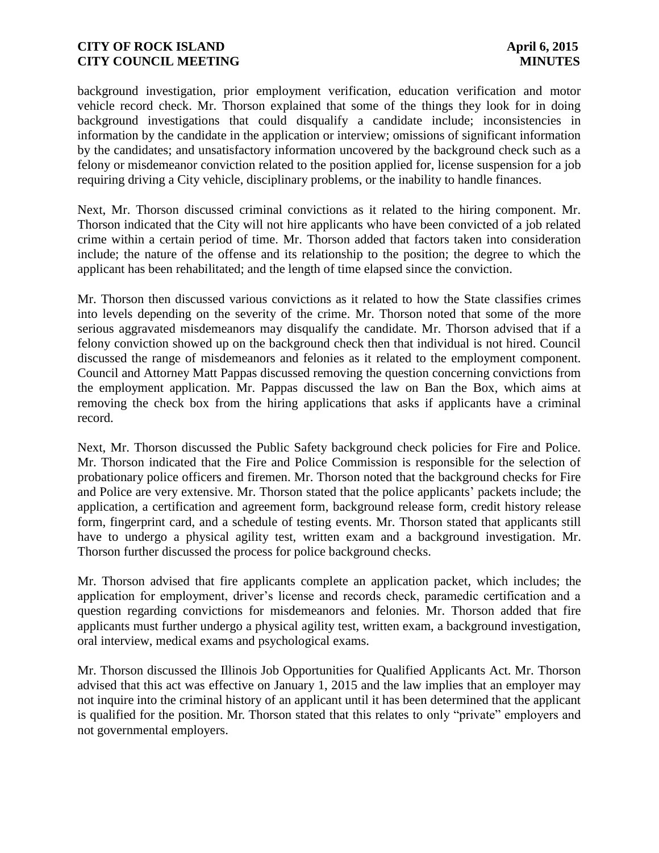background investigation, prior employment verification, education verification and motor vehicle record check. Mr. Thorson explained that some of the things they look for in doing background investigations that could disqualify a candidate include; inconsistencies in information by the candidate in the application or interview; omissions of significant information by the candidates; and unsatisfactory information uncovered by the background check such as a felony or misdemeanor conviction related to the position applied for, license suspension for a job requiring driving a City vehicle, disciplinary problems, or the inability to handle finances.

Next, Mr. Thorson discussed criminal convictions as it related to the hiring component. Mr. Thorson indicated that the City will not hire applicants who have been convicted of a job related crime within a certain period of time. Mr. Thorson added that factors taken into consideration include; the nature of the offense and its relationship to the position; the degree to which the applicant has been rehabilitated; and the length of time elapsed since the conviction.

Mr. Thorson then discussed various convictions as it related to how the State classifies crimes into levels depending on the severity of the crime. Mr. Thorson noted that some of the more serious aggravated misdemeanors may disqualify the candidate. Mr. Thorson advised that if a felony conviction showed up on the background check then that individual is not hired. Council discussed the range of misdemeanors and felonies as it related to the employment component. Council and Attorney Matt Pappas discussed removing the question concerning convictions from the employment application. Mr. Pappas discussed the law on Ban the Box, which aims at removing the check box from the hiring applications that asks if applicants have a criminal record.

Next, Mr. Thorson discussed the Public Safety background check policies for Fire and Police. Mr. Thorson indicated that the Fire and Police Commission is responsible for the selection of probationary police officers and firemen. Mr. Thorson noted that the background checks for Fire and Police are very extensive. Mr. Thorson stated that the police applicants' packets include; the application, a certification and agreement form, background release form, credit history release form, fingerprint card, and a schedule of testing events. Mr. Thorson stated that applicants still have to undergo a physical agility test, written exam and a background investigation. Mr. Thorson further discussed the process for police background checks.

Mr. Thorson advised that fire applicants complete an application packet, which includes; the application for employment, driver's license and records check, paramedic certification and a question regarding convictions for misdemeanors and felonies. Mr. Thorson added that fire applicants must further undergo a physical agility test, written exam, a background investigation, oral interview, medical exams and psychological exams.

Mr. Thorson discussed the Illinois Job Opportunities for Qualified Applicants Act. Mr. Thorson advised that this act was effective on January 1, 2015 and the law implies that an employer may not inquire into the criminal history of an applicant until it has been determined that the applicant is qualified for the position. Mr. Thorson stated that this relates to only "private" employers and not governmental employers.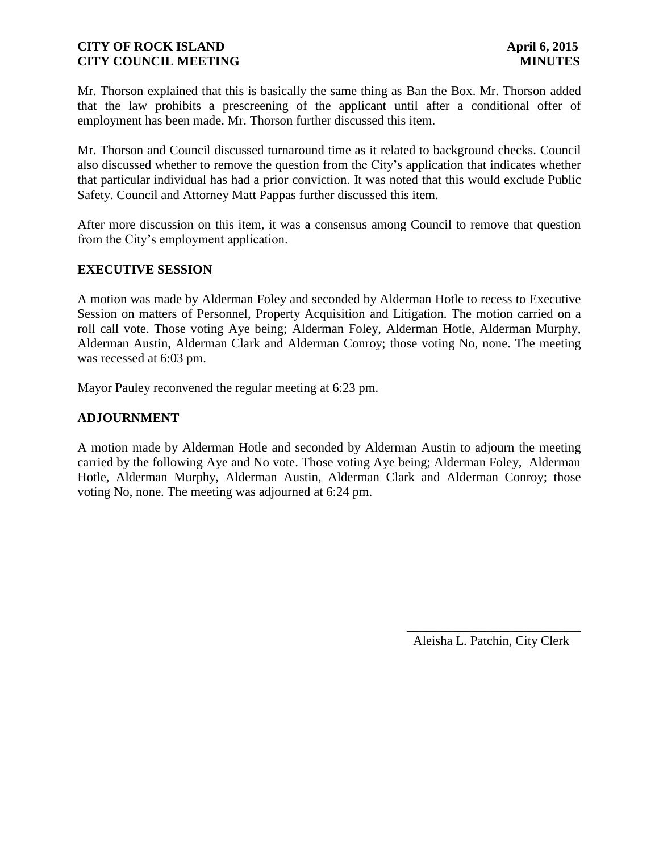Mr. Thorson explained that this is basically the same thing as Ban the Box. Mr. Thorson added that the law prohibits a prescreening of the applicant until after a conditional offer of employment has been made. Mr. Thorson further discussed this item.

Mr. Thorson and Council discussed turnaround time as it related to background checks. Council also discussed whether to remove the question from the City's application that indicates whether that particular individual has had a prior conviction. It was noted that this would exclude Public Safety. Council and Attorney Matt Pappas further discussed this item.

After more discussion on this item, it was a consensus among Council to remove that question from the City's employment application.

## **EXECUTIVE SESSION**

A motion was made by Alderman Foley and seconded by Alderman Hotle to recess to Executive Session on matters of Personnel, Property Acquisition and Litigation. The motion carried on a roll call vote. Those voting Aye being; Alderman Foley, Alderman Hotle, Alderman Murphy, Alderman Austin, Alderman Clark and Alderman Conroy; those voting No, none. The meeting was recessed at 6:03 pm.

Mayor Pauley reconvened the regular meeting at 6:23 pm.

## **ADJOURNMENT**

A motion made by Alderman Hotle and seconded by Alderman Austin to adjourn the meeting carried by the following Aye and No vote. Those voting Aye being; Alderman Foley, Alderman Hotle, Alderman Murphy, Alderman Austin, Alderman Clark and Alderman Conroy; those voting No, none. The meeting was adjourned at 6:24 pm.

Aleisha L. Patchin, City Clerk

 $\frac{1}{2}$  ,  $\frac{1}{2}$  ,  $\frac{1}{2}$  ,  $\frac{1}{2}$  ,  $\frac{1}{2}$  ,  $\frac{1}{2}$  ,  $\frac{1}{2}$  ,  $\frac{1}{2}$  ,  $\frac{1}{2}$  ,  $\frac{1}{2}$  ,  $\frac{1}{2}$  ,  $\frac{1}{2}$  ,  $\frac{1}{2}$  ,  $\frac{1}{2}$  ,  $\frac{1}{2}$  ,  $\frac{1}{2}$  ,  $\frac{1}{2}$  ,  $\frac{1}{2}$  ,  $\frac{1$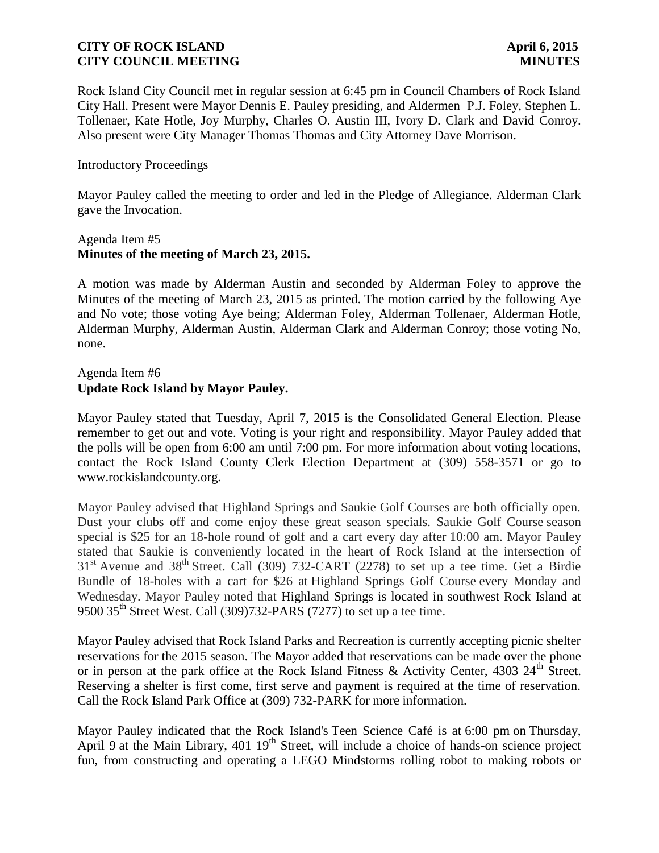Rock Island City Council met in regular session at 6:45 pm in Council Chambers of Rock Island City Hall. Present were Mayor Dennis E. Pauley presiding, and Aldermen P.J. Foley, Stephen L. Tollenaer, Kate Hotle, Joy Murphy, Charles O. Austin III, Ivory D. Clark and David Conroy. Also present were City Manager Thomas Thomas and City Attorney Dave Morrison.

### Introductory Proceedings

Mayor Pauley called the meeting to order and led in the Pledge of Allegiance. Alderman Clark gave the Invocation.

### Agenda Item #5 **Minutes of the meeting of March 23, 2015.**

A motion was made by Alderman Austin and seconded by Alderman Foley to approve the Minutes of the meeting of March 23, 2015 as printed. The motion carried by the following Aye and No vote; those voting Aye being; Alderman Foley, Alderman Tollenaer, Alderman Hotle, Alderman Murphy, Alderman Austin, Alderman Clark and Alderman Conroy; those voting No, none.

## Agenda Item #6 **Update Rock Island by Mayor Pauley.**

Mayor Pauley stated that Tuesday, April 7, 2015 is the Consolidated General Election. Please remember to get out and vote. Voting is your right and responsibility. Mayor Pauley added that the polls will be open from 6:00 am until 7:00 pm. For more information about voting locations, contact the Rock Island County Clerk Election Department at (309) 558-3571 or go to www.rockislandcounty.org.

Mayor Pauley advised that Highland Springs and Saukie Golf Courses are both officially open. Dust your clubs off and come enjoy these great season specials. Saukie Golf Course season special is \$25 for an 18-hole round of golf and a cart every day after 10:00 am. Mayor Pauley stated that Saukie is conveniently located in the heart of Rock Island at the intersection of  $31<sup>st</sup>$  Avenue and  $38<sup>th</sup>$  Street. Call (309) 732-CART (2278) to set up a tee time. Get a Birdie Bundle of 18-holes with a cart for \$26 at Highland Springs Golf Course every Monday and Wednesday. Mayor Pauley noted that Highland Springs is located in southwest Rock Island at 9500 35<sup>th</sup> Street West. Call (309)732-PARS (7277) to set up a tee time.

Mayor Pauley advised that Rock Island Parks and Recreation is currently accepting picnic shelter reservations for the 2015 season. The Mayor added that reservations can be made over the phone or in person at the park office at the Rock Island Fitness & Activity Center, 4303  $24^{\text{th}}$  Street. Reserving a shelter is first come, first serve and payment is required at the time of reservation. Call the Rock Island Park Office at (309) 732-PARK for more information.

Mayor Pauley indicated that the Rock Island's Teen Science Café is at 6:00 pm on Thursday, April 9 at the Main Library, 401 19<sup>th</sup> Street, will include a choice of hands-on science project fun, from constructing and operating a LEGO Mindstorms rolling robot to making robots or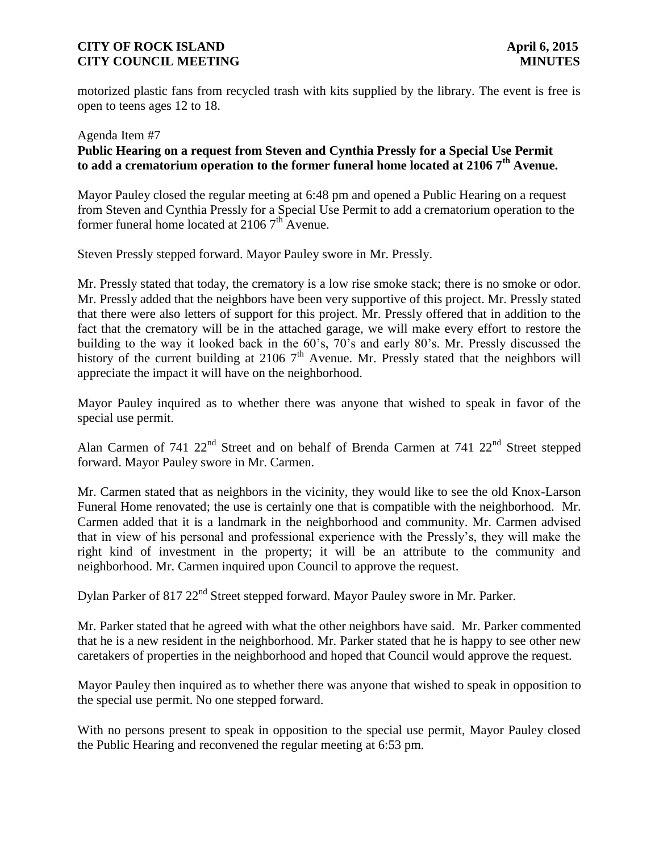motorized plastic fans from recycled trash with kits supplied by the library. The event is free is open to teens ages 12 to 18.

# Agenda Item #7 **Public Hearing on a request from Steven and Cynthia Pressly for a Special Use Permit to add a crematorium operation to the former funeral home located at 2106 7th Avenue.**

Mayor Pauley closed the regular meeting at 6:48 pm and opened a Public Hearing on a request from Steven and Cynthia Pressly for a Special Use Permit to add a crematorium operation to the former funeral home located at  $21067<sup>th</sup>$  Avenue.

Steven Pressly stepped forward. Mayor Pauley swore in Mr. Pressly.

Mr. Pressly stated that today, the crematory is a low rise smoke stack; there is no smoke or odor. Mr. Pressly added that the neighbors have been very supportive of this project. Mr. Pressly stated that there were also letters of support for this project. Mr. Pressly offered that in addition to the fact that the crematory will be in the attached garage, we will make every effort to restore the building to the way it looked back in the 60's, 70's and early 80's. Mr. Pressly discussed the history of the current building at 2106  $7<sup>th</sup>$  Avenue. Mr. Pressly stated that the neighbors will appreciate the impact it will have on the neighborhood.

Mayor Pauley inquired as to whether there was anyone that wished to speak in favor of the special use permit.

Alan Carmen of 741 22<sup>nd</sup> Street and on behalf of Brenda Carmen at 741 22<sup>nd</sup> Street stepped forward. Mayor Pauley swore in Mr. Carmen.

Mr. Carmen stated that as neighbors in the vicinity, they would like to see the old Knox-Larson Funeral Home renovated; the use is certainly one that is compatible with the neighborhood. Mr. Carmen added that it is a landmark in the neighborhood and community. Mr. Carmen advised that in view of his personal and professional experience with the Pressly's, they will make the right kind of investment in the property; it will be an attribute to the community and neighborhood. Mr. Carmen inquired upon Council to approve the request.

Dylan Parker of 817 22<sup>nd</sup> Street stepped forward. Mayor Pauley swore in Mr. Parker.

Mr. Parker stated that he agreed with what the other neighbors have said. Mr. Parker commented that he is a new resident in the neighborhood. Mr. Parker stated that he is happy to see other new caretakers of properties in the neighborhood and hoped that Council would approve the request.

Mayor Pauley then inquired as to whether there was anyone that wished to speak in opposition to the special use permit. No one stepped forward.

With no persons present to speak in opposition to the special use permit, Mayor Pauley closed the Public Hearing and reconvened the regular meeting at 6:53 pm.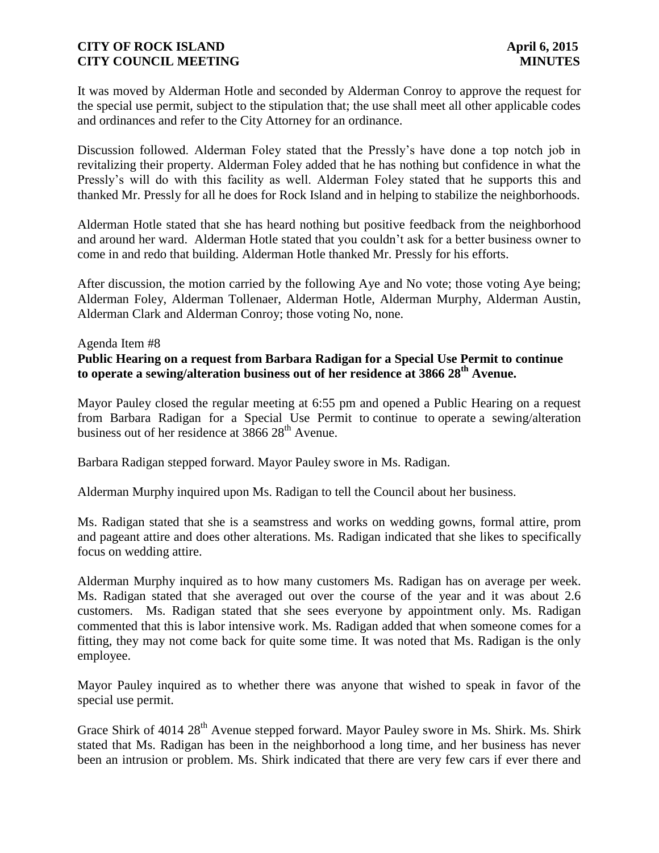It was moved by Alderman Hotle and seconded by Alderman Conroy to approve the request for the special use permit, subject to the stipulation that; the use shall meet all other applicable codes and ordinances and refer to the City Attorney for an ordinance.

Discussion followed. Alderman Foley stated that the Pressly's have done a top notch job in revitalizing their property. Alderman Foley added that he has nothing but confidence in what the Pressly's will do with this facility as well. Alderman Foley stated that he supports this and thanked Mr. Pressly for all he does for Rock Island and in helping to stabilize the neighborhoods.

Alderman Hotle stated that she has heard nothing but positive feedback from the neighborhood and around her ward. Alderman Hotle stated that you couldn't ask for a better business owner to come in and redo that building. Alderman Hotle thanked Mr. Pressly for his efforts.

After discussion, the motion carried by the following Aye and No vote; those voting Aye being; Alderman Foley, Alderman Tollenaer, Alderman Hotle, Alderman Murphy, Alderman Austin, Alderman Clark and Alderman Conroy; those voting No, none.

#### Agenda Item #8

# **Public Hearing on a request from Barbara Radigan for a Special Use Permit to continue to operate a sewing/alteration business out of her residence at 3866 28th Avenue.**

Mayor Pauley closed the regular meeting at 6:55 pm and opened a Public Hearing on a request from Barbara Radigan for a Special Use Permit to continue to operate a sewing/alteration business out of her residence at  $3866\,28^{th}$  Avenue.

Barbara Radigan stepped forward. Mayor Pauley swore in Ms. Radigan.

Alderman Murphy inquired upon Ms. Radigan to tell the Council about her business.

Ms. Radigan stated that she is a seamstress and works on wedding gowns, formal attire, prom and pageant attire and does other alterations. Ms. Radigan indicated that she likes to specifically focus on wedding attire.

Alderman Murphy inquired as to how many customers Ms. Radigan has on average per week. Ms. Radigan stated that she averaged out over the course of the year and it was about 2.6 customers. Ms. Radigan stated that she sees everyone by appointment only. Ms. Radigan commented that this is labor intensive work. Ms. Radigan added that when someone comes for a fitting, they may not come back for quite some time. It was noted that Ms. Radigan is the only employee.

Mayor Pauley inquired as to whether there was anyone that wished to speak in favor of the special use permit.

Grace Shirk of  $4014\ 28<sup>th</sup>$  Avenue stepped forward. Mayor Pauley swore in Ms. Shirk. Ms. Shirk stated that Ms. Radigan has been in the neighborhood a long time, and her business has never been an intrusion or problem. Ms. Shirk indicated that there are very few cars if ever there and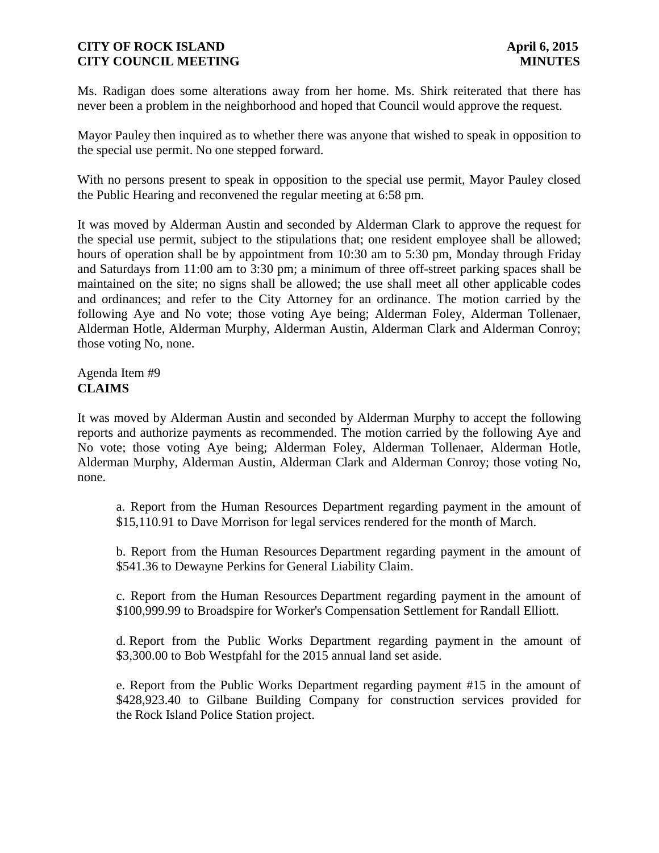Ms. Radigan does some alterations away from her home. Ms. Shirk reiterated that there has never been a problem in the neighborhood and hoped that Council would approve the request.

Mayor Pauley then inquired as to whether there was anyone that wished to speak in opposition to the special use permit. No one stepped forward.

With no persons present to speak in opposition to the special use permit, Mayor Pauley closed the Public Hearing and reconvened the regular meeting at 6:58 pm.

It was moved by Alderman Austin and seconded by Alderman Clark to approve the request for the special use permit, subject to the stipulations that; one resident employee shall be allowed; hours of operation shall be by appointment from 10:30 am to 5:30 pm, Monday through Friday and Saturdays from 11:00 am to 3:30 pm; a minimum of three off-street parking spaces shall be maintained on the site; no signs shall be allowed; the use shall meet all other applicable codes and ordinances; and refer to the City Attorney for an ordinance. The motion carried by the following Aye and No vote; those voting Aye being; Alderman Foley, Alderman Tollenaer, Alderman Hotle, Alderman Murphy, Alderman Austin, Alderman Clark and Alderman Conroy; those voting No, none.

Agenda Item #9 **CLAIMS**

It was moved by Alderman Austin and seconded by Alderman Murphy to accept the following reports and authorize payments as recommended. The motion carried by the following Aye and No vote; those voting Aye being; Alderman Foley, Alderman Tollenaer, Alderman Hotle, Alderman Murphy, Alderman Austin, Alderman Clark and Alderman Conroy; those voting No, none.

a. Report from the Human Resources Department regarding payment in the amount of \$15,110.91 to Dave Morrison for legal services rendered for the month of March.

b. Report from the Human Resources Department regarding payment in the amount of \$541.36 to Dewayne Perkins for General Liability Claim.

c. Report from the Human Resources Department regarding payment in the amount of \$100,999.99 to Broadspire for Worker's Compensation Settlement for Randall Elliott.

d. Report from the Public Works Department regarding payment in the amount of \$3,300.00 to Bob Westpfahl for the 2015 annual land set aside.

e. Report from the Public Works Department regarding payment #15 in the amount of \$428,923.40 to Gilbane Building Company for construction services provided for the Rock Island Police Station project.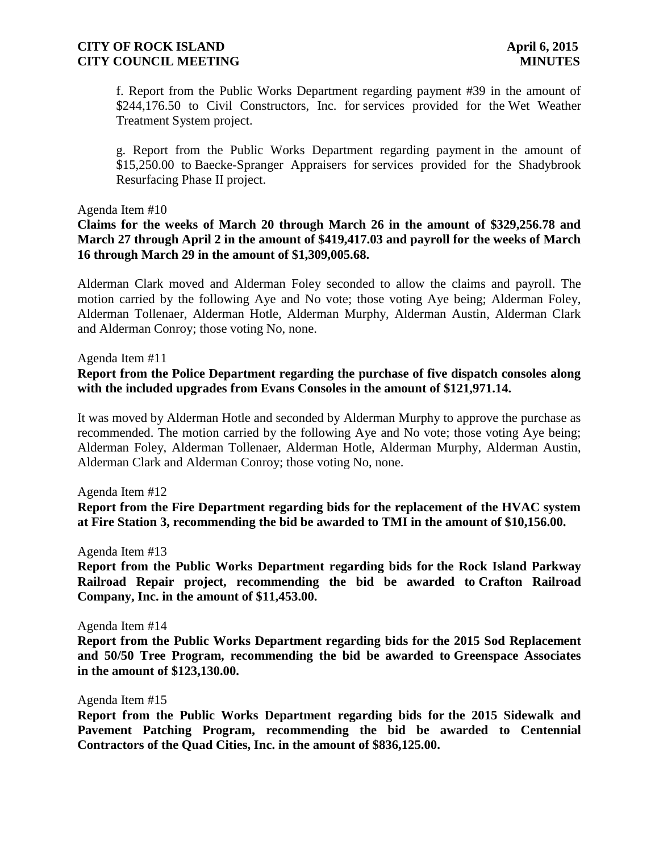f. Report from the Public Works Department regarding payment #39 in the amount of \$244,176.50 to Civil Constructors, Inc. for services provided for the Wet Weather Treatment System project.

g. Report from the Public Works Department regarding payment in the amount of \$15,250.00 to Baecke-Spranger Appraisers for services provided for the Shadybrook Resurfacing Phase II project.

#### Agenda Item #10

**Claims for the weeks of March 20 through March 26 in the amount of \$329,256.78 and March 27 through April 2 in the amount of \$419,417.03 and payroll for the weeks of March 16 through March 29 in the amount of \$1,309,005.68.** 

Alderman Clark moved and Alderman Foley seconded to allow the claims and payroll. The motion carried by the following Aye and No vote; those voting Aye being; Alderman Foley, Alderman Tollenaer, Alderman Hotle, Alderman Murphy, Alderman Austin, Alderman Clark and Alderman Conroy; those voting No, none.

Agenda Item #11

### **Report from the Police Department regarding the purchase of five dispatch consoles along with the included upgrades from Evans Consoles in the amount of \$121,971.14.**

It was moved by Alderman Hotle and seconded by Alderman Murphy to approve the purchase as recommended. The motion carried by the following Aye and No vote; those voting Aye being; Alderman Foley, Alderman Tollenaer, Alderman Hotle, Alderman Murphy, Alderman Austin, Alderman Clark and Alderman Conroy; those voting No, none.

Agenda Item #12

**Report from the Fire Department regarding bids for the replacement of the HVAC system at Fire Station 3, recommending the bid be awarded to TMI in the amount of \$10,156.00.** 

Agenda Item #13

**Report from the Public Works Department regarding bids for the Rock Island Parkway Railroad Repair project, recommending the bid be awarded to Crafton Railroad Company, Inc. in the amount of \$11,453.00.**

Agenda Item #14

**Report from the Public Works Department regarding bids for the 2015 Sod Replacement and 50/50 Tree Program, recommending the bid be awarded to Greenspace Associates in the amount of \$123,130.00.**

Agenda Item #15

**Report from the Public Works Department regarding bids for the 2015 Sidewalk and Pavement Patching Program, recommending the bid be awarded to Centennial Contractors of the Quad Cities, Inc. in the amount of \$836,125.00.**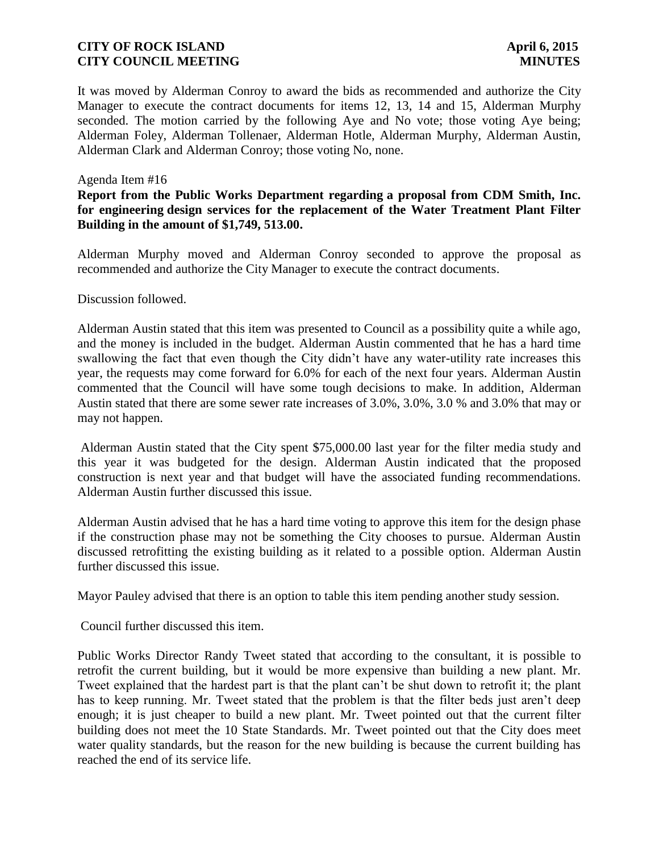It was moved by Alderman Conroy to award the bids as recommended and authorize the City Manager to execute the contract documents for items 12, 13, 14 and 15, Alderman Murphy seconded. The motion carried by the following Aye and No vote; those voting Aye being; Alderman Foley, Alderman Tollenaer, Alderman Hotle, Alderman Murphy, Alderman Austin, Alderman Clark and Alderman Conroy; those voting No, none.

### Agenda Item #16

### **Report from the Public Works Department regarding a proposal from CDM Smith, Inc. for engineering design services for the replacement of the Water Treatment Plant Filter Building in the amount of \$1,749, 513.00.**

Alderman Murphy moved and Alderman Conroy seconded to approve the proposal as recommended and authorize the City Manager to execute the contract documents.

Discussion followed.

Alderman Austin stated that this item was presented to Council as a possibility quite a while ago, and the money is included in the budget. Alderman Austin commented that he has a hard time swallowing the fact that even though the City didn't have any water-utility rate increases this year, the requests may come forward for 6.0% for each of the next four years. Alderman Austin commented that the Council will have some tough decisions to make. In addition, Alderman Austin stated that there are some sewer rate increases of 3.0%, 3.0%, 3.0 % and 3.0% that may or may not happen.

Alderman Austin stated that the City spent \$75,000.00 last year for the filter media study and this year it was budgeted for the design. Alderman Austin indicated that the proposed construction is next year and that budget will have the associated funding recommendations. Alderman Austin further discussed this issue.

Alderman Austin advised that he has a hard time voting to approve this item for the design phase if the construction phase may not be something the City chooses to pursue. Alderman Austin discussed retrofitting the existing building as it related to a possible option. Alderman Austin further discussed this issue.

Mayor Pauley advised that there is an option to table this item pending another study session.

Council further discussed this item.

Public Works Director Randy Tweet stated that according to the consultant, it is possible to retrofit the current building, but it would be more expensive than building a new plant. Mr. Tweet explained that the hardest part is that the plant can't be shut down to retrofit it; the plant has to keep running. Mr. Tweet stated that the problem is that the filter beds just aren't deep enough; it is just cheaper to build a new plant. Mr. Tweet pointed out that the current filter building does not meet the 10 State Standards. Mr. Tweet pointed out that the City does meet water quality standards, but the reason for the new building is because the current building has reached the end of its service life.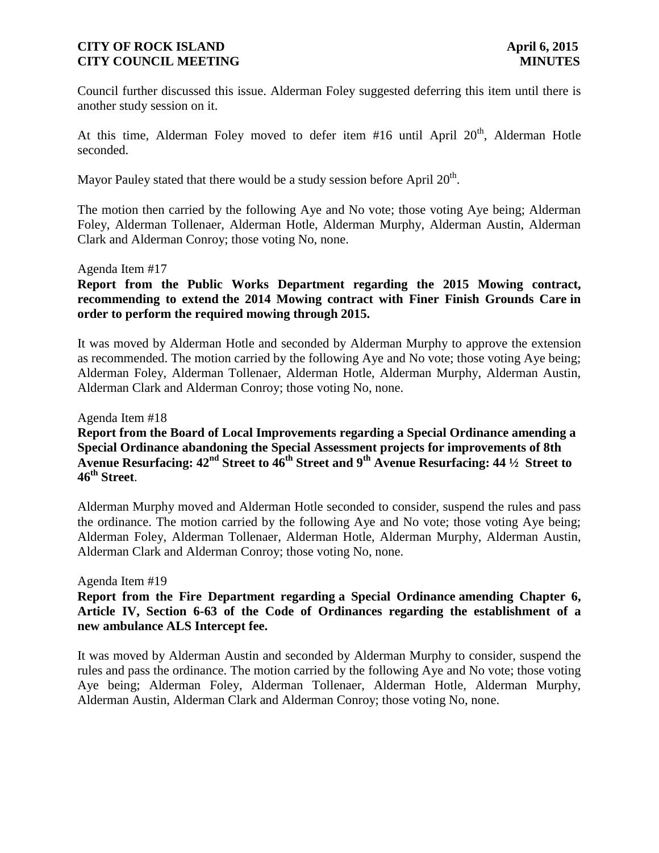Council further discussed this issue. Alderman Foley suggested deferring this item until there is another study session on it.

At this time, Alderman Foley moved to defer item  $#16$  until April  $20<sup>th</sup>$ , Alderman Hotle seconded.

Mayor Pauley stated that there would be a study session before April  $20<sup>th</sup>$ .

The motion then carried by the following Aye and No vote; those voting Aye being; Alderman Foley, Alderman Tollenaer, Alderman Hotle, Alderman Murphy, Alderman Austin, Alderman Clark and Alderman Conroy; those voting No, none.

### Agenda Item #17

**Report from the Public Works Department regarding the 2015 Mowing contract, recommending to extend the 2014 Mowing contract with Finer Finish Grounds Care in order to perform the required mowing through 2015.** 

It was moved by Alderman Hotle and seconded by Alderman Murphy to approve the extension as recommended. The motion carried by the following Aye and No vote; those voting Aye being; Alderman Foley, Alderman Tollenaer, Alderman Hotle, Alderman Murphy, Alderman Austin, Alderman Clark and Alderman Conroy; those voting No, none.

Agenda Item #18

# **Report from the Board of Local Improvements regarding a Special Ordinance amending a Special Ordinance abandoning the Special Assessment projects for improvements of 8th Avenue Resurfacing: 42nd Street to 46th Street and 9th Avenue Resurfacing: 44 ½ Street to 46th Street**.

Alderman Murphy moved and Alderman Hotle seconded to consider, suspend the rules and pass the ordinance. The motion carried by the following Aye and No vote; those voting Aye being; Alderman Foley, Alderman Tollenaer, Alderman Hotle, Alderman Murphy, Alderman Austin, Alderman Clark and Alderman Conroy; those voting No, none.

#### Agenda Item #19

**Report from the Fire Department regarding a Special Ordinance amending Chapter 6, Article IV, Section 6-63 of the Code of Ordinances regarding the establishment of a new ambulance ALS Intercept fee.** 

It was moved by Alderman Austin and seconded by Alderman Murphy to consider, suspend the rules and pass the ordinance. The motion carried by the following Aye and No vote; those voting Aye being; Alderman Foley, Alderman Tollenaer, Alderman Hotle, Alderman Murphy, Alderman Austin, Alderman Clark and Alderman Conroy; those voting No, none.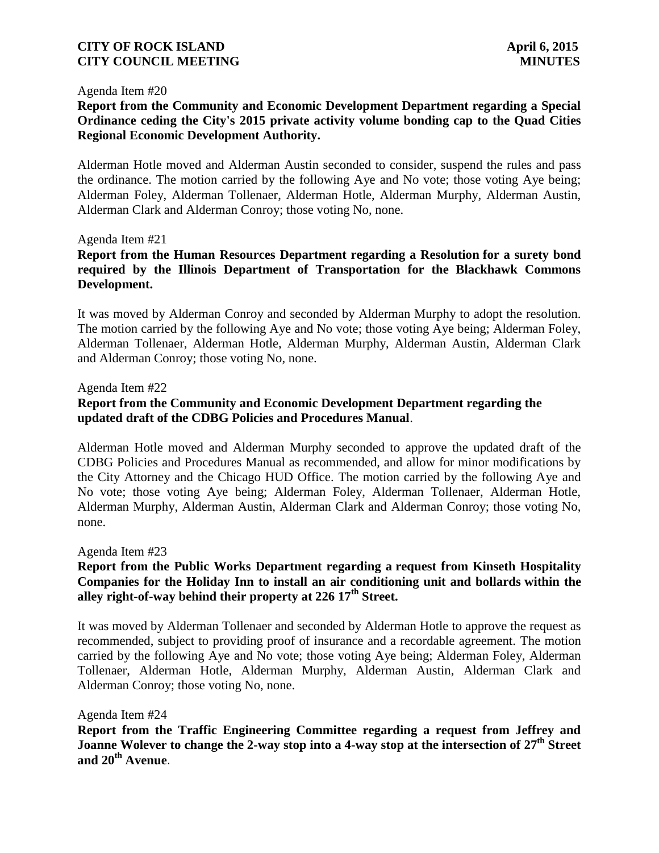#### Agenda Item #20

# **Report from the Community and Economic Development Department regarding a Special Ordinance ceding the City's 2015 private activity volume bonding cap to the Quad Cities Regional Economic Development Authority.**

Alderman Hotle moved and Alderman Austin seconded to consider, suspend the rules and pass the ordinance. The motion carried by the following Aye and No vote; those voting Aye being; Alderman Foley, Alderman Tollenaer, Alderman Hotle, Alderman Murphy, Alderman Austin, Alderman Clark and Alderman Conroy; those voting No, none.

#### Agenda Item #21

## **Report from the Human Resources Department regarding a Resolution for a surety bond required by the Illinois Department of Transportation for the Blackhawk Commons Development.**

It was moved by Alderman Conroy and seconded by Alderman Murphy to adopt the resolution. The motion carried by the following Aye and No vote; those voting Aye being; Alderman Foley, Alderman Tollenaer, Alderman Hotle, Alderman Murphy, Alderman Austin, Alderman Clark and Alderman Conroy; those voting No, none.

### Agenda Item #22

## **Report from the Community and Economic Development Department regarding the updated draft of the CDBG Policies and Procedures Manual**.

Alderman Hotle moved and Alderman Murphy seconded to approve the updated draft of the CDBG Policies and Procedures Manual as recommended, and allow for minor modifications by the City Attorney and the Chicago HUD Office. The motion carried by the following Aye and No vote; those voting Aye being; Alderman Foley, Alderman Tollenaer, Alderman Hotle, Alderman Murphy, Alderman Austin, Alderman Clark and Alderman Conroy; those voting No, none.

#### Agenda Item #23

## **Report from the Public Works Department regarding a request from Kinseth Hospitality Companies for the Holiday Inn to install an air conditioning unit and bollards within the alley right-of-way behind their property at 226 17th Street.**

It was moved by Alderman Tollenaer and seconded by Alderman Hotle to approve the request as recommended, subject to providing proof of insurance and a recordable agreement. The motion carried by the following Aye and No vote; those voting Aye being; Alderman Foley, Alderman Tollenaer, Alderman Hotle, Alderman Murphy, Alderman Austin, Alderman Clark and Alderman Conroy; those voting No, none.

#### Agenda Item #24

**Report from the Traffic Engineering Committee regarding a request from Jeffrey and Joanne Wolever to change the 2-way stop into a 4-way stop at the intersection of 27th Street and 20th Avenue**.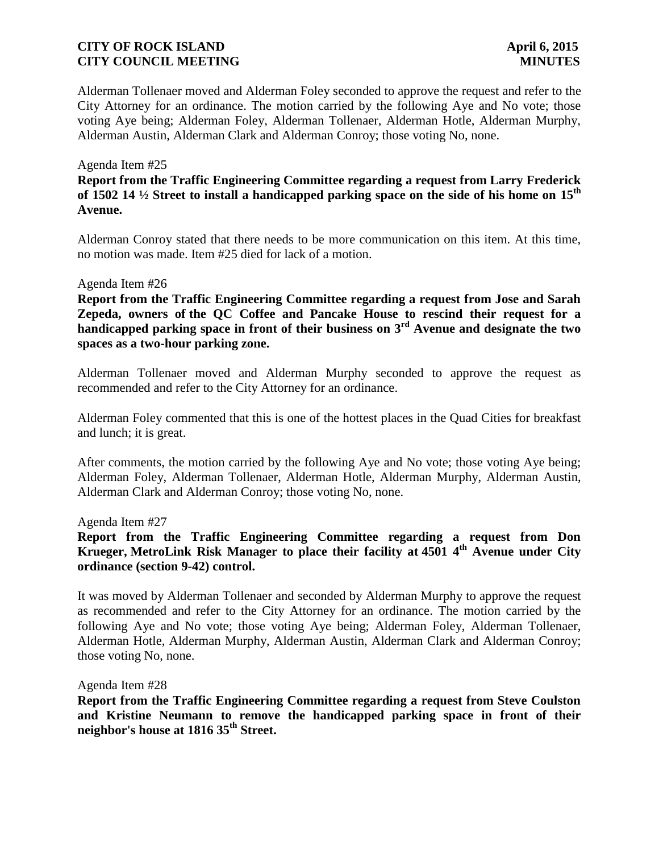Alderman Tollenaer moved and Alderman Foley seconded to approve the request and refer to the City Attorney for an ordinance. The motion carried by the following Aye and No vote; those voting Aye being; Alderman Foley, Alderman Tollenaer, Alderman Hotle, Alderman Murphy, Alderman Austin, Alderman Clark and Alderman Conroy; those voting No, none.

#### Agenda Item #25

**Report from the Traffic Engineering Committee regarding a request from Larry Frederick of 1502 14 ½ Street to install a handicapped parking space on the side of his home on 15th Avenue.**

Alderman Conroy stated that there needs to be more communication on this item. At this time, no motion was made. Item #25 died for lack of a motion.

#### Agenda Item #26

**Report from the Traffic Engineering Committee regarding a request from Jose and Sarah Zepeda, owners of the QC Coffee and Pancake House to rescind their request for a handicapped parking space in front of their business on 3rd Avenue and designate the two spaces as a two-hour parking zone.**

Alderman Tollenaer moved and Alderman Murphy seconded to approve the request as recommended and refer to the City Attorney for an ordinance.

Alderman Foley commented that this is one of the hottest places in the Quad Cities for breakfast and lunch; it is great.

After comments, the motion carried by the following Aye and No vote; those voting Aye being; Alderman Foley, Alderman Tollenaer, Alderman Hotle, Alderman Murphy, Alderman Austin, Alderman Clark and Alderman Conroy; those voting No, none.

Agenda Item #27

**Report from the Traffic Engineering Committee regarding a request from Don Krueger, MetroLink Risk Manager to place their facility at 4501 4th Avenue under City ordinance (section 9-42) control.** 

It was moved by Alderman Tollenaer and seconded by Alderman Murphy to approve the request as recommended and refer to the City Attorney for an ordinance. The motion carried by the following Aye and No vote; those voting Aye being; Alderman Foley, Alderman Tollenaer, Alderman Hotle, Alderman Murphy, Alderman Austin, Alderman Clark and Alderman Conroy; those voting No, none.

Agenda Item #28

**Report from the Traffic Engineering Committee regarding a request from Steve Coulston and Kristine Neumann to remove the handicapped parking space in front of their neighbor's house at 1816 35th Street.**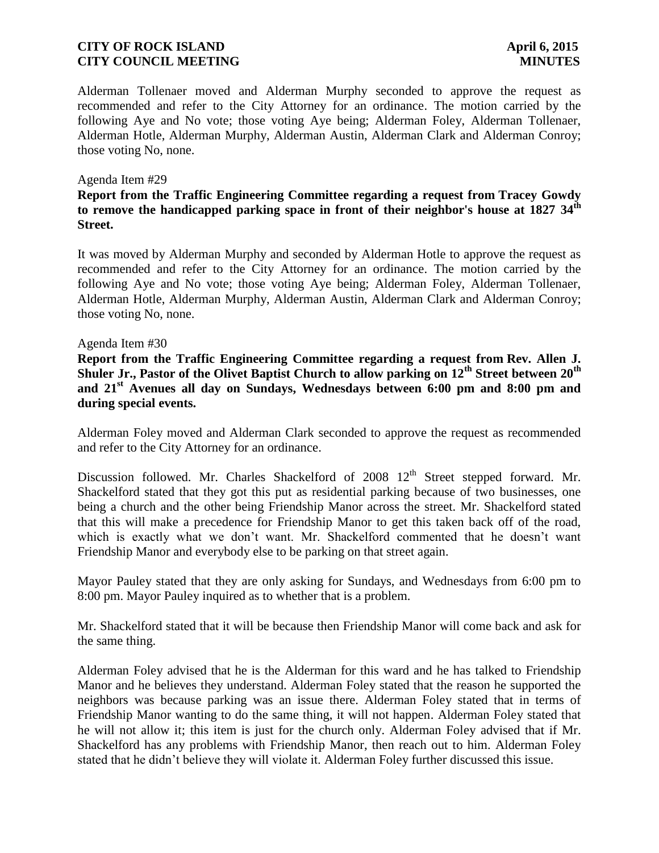Alderman Tollenaer moved and Alderman Murphy seconded to approve the request as recommended and refer to the City Attorney for an ordinance. The motion carried by the following Aye and No vote; those voting Aye being; Alderman Foley, Alderman Tollenaer, Alderman Hotle, Alderman Murphy, Alderman Austin, Alderman Clark and Alderman Conroy; those voting No, none.

### Agenda Item #29

## **Report from the Traffic Engineering Committee regarding a request from Tracey Gowdy to remove the handicapped parking space in front of their neighbor's house at 1827 34th Street.**

It was moved by Alderman Murphy and seconded by Alderman Hotle to approve the request as recommended and refer to the City Attorney for an ordinance. The motion carried by the following Aye and No vote; those voting Aye being; Alderman Foley, Alderman Tollenaer, Alderman Hotle, Alderman Murphy, Alderman Austin, Alderman Clark and Alderman Conroy; those voting No, none.

### Agenda Item #30

**Report from the Traffic Engineering Committee regarding a request from Rev. Allen J. Shuler Jr., Pastor of the Olivet Baptist Church to allow parking on 12th Street between 20th and 21st Avenues all day on Sundays, Wednesdays between 6:00 pm and 8:00 pm and during special events.**

Alderman Foley moved and Alderman Clark seconded to approve the request as recommended and refer to the City Attorney for an ordinance.

Discussion followed. Mr. Charles Shackelford of  $2008 \, 12^{th}$  Street stepped forward. Mr. Shackelford stated that they got this put as residential parking because of two businesses, one being a church and the other being Friendship Manor across the street. Mr. Shackelford stated that this will make a precedence for Friendship Manor to get this taken back off of the road, which is exactly what we don't want. Mr. Shackelford commented that he doesn't want Friendship Manor and everybody else to be parking on that street again.

Mayor Pauley stated that they are only asking for Sundays, and Wednesdays from 6:00 pm to 8:00 pm. Mayor Pauley inquired as to whether that is a problem.

Mr. Shackelford stated that it will be because then Friendship Manor will come back and ask for the same thing.

Alderman Foley advised that he is the Alderman for this ward and he has talked to Friendship Manor and he believes they understand. Alderman Foley stated that the reason he supported the neighbors was because parking was an issue there. Alderman Foley stated that in terms of Friendship Manor wanting to do the same thing, it will not happen. Alderman Foley stated that he will not allow it; this item is just for the church only. Alderman Foley advised that if Mr. Shackelford has any problems with Friendship Manor, then reach out to him. Alderman Foley stated that he didn't believe they will violate it. Alderman Foley further discussed this issue.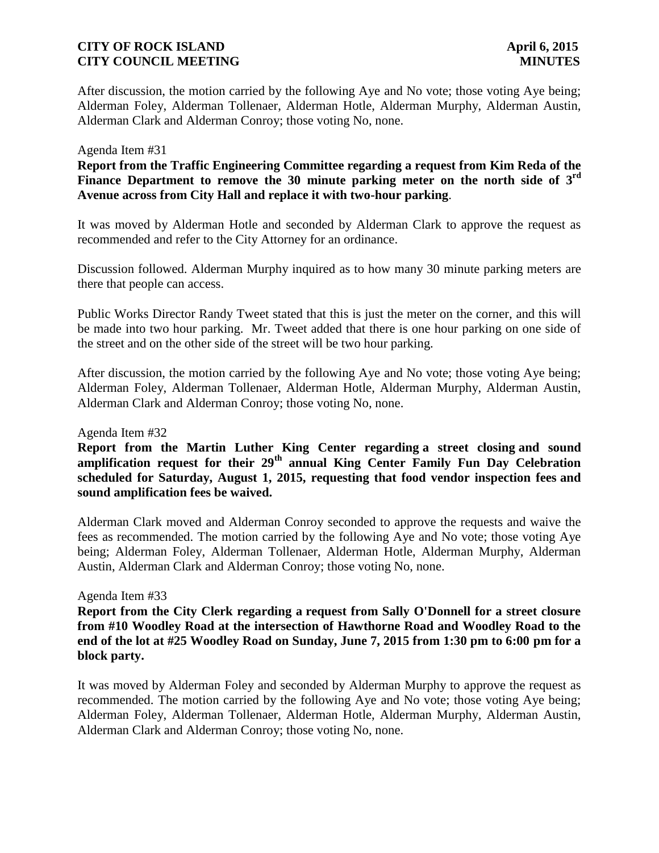After discussion, the motion carried by the following Aye and No vote; those voting Aye being; Alderman Foley, Alderman Tollenaer, Alderman Hotle, Alderman Murphy, Alderman Austin, Alderman Clark and Alderman Conroy; those voting No, none.

#### Agenda Item #31

**Report from the Traffic Engineering Committee regarding a request from Kim Reda of the**  Finance Department to remove the 30 minute parking meter on the north side of 3<sup>rd</sup> **Avenue across from City Hall and replace it with two-hour parking**.

It was moved by Alderman Hotle and seconded by Alderman Clark to approve the request as recommended and refer to the City Attorney for an ordinance.

Discussion followed. Alderman Murphy inquired as to how many 30 minute parking meters are there that people can access.

Public Works Director Randy Tweet stated that this is just the meter on the corner, and this will be made into two hour parking. Mr. Tweet added that there is one hour parking on one side of the street and on the other side of the street will be two hour parking.

After discussion, the motion carried by the following Aye and No vote; those voting Aye being; Alderman Foley, Alderman Tollenaer, Alderman Hotle, Alderman Murphy, Alderman Austin, Alderman Clark and Alderman Conroy; those voting No, none.

#### Agenda Item #32

**Report from the Martin Luther King Center regarding a street closing and sound amplification request for their 29th annual King Center Family Fun Day Celebration scheduled for Saturday, August 1, 2015, requesting that food vendor inspection fees and sound amplification fees be waived.** 

Alderman Clark moved and Alderman Conroy seconded to approve the requests and waive the fees as recommended. The motion carried by the following Aye and No vote; those voting Aye being; Alderman Foley, Alderman Tollenaer, Alderman Hotle, Alderman Murphy, Alderman Austin, Alderman Clark and Alderman Conroy; those voting No, none.

#### Agenda Item #33

**Report from the City Clerk regarding a request from Sally O'Donnell for a street closure from #10 Woodley Road at the intersection of Hawthorne Road and Woodley Road to the end of the lot at #25 Woodley Road on Sunday, June 7, 2015 from 1:30 pm to 6:00 pm for a block party.**

It was moved by Alderman Foley and seconded by Alderman Murphy to approve the request as recommended. The motion carried by the following Aye and No vote; those voting Aye being; Alderman Foley, Alderman Tollenaer, Alderman Hotle, Alderman Murphy, Alderman Austin, Alderman Clark and Alderman Conroy; those voting No, none.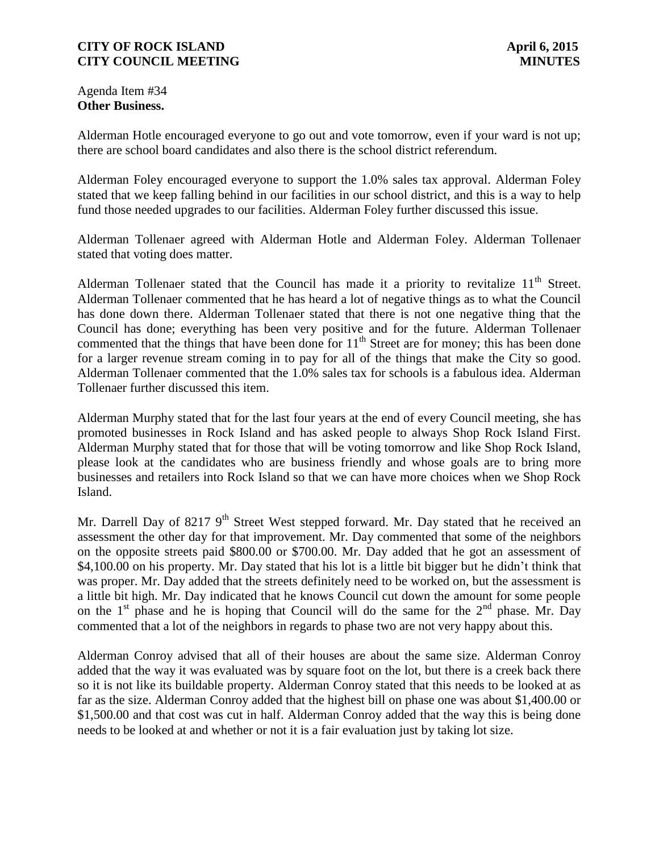Agenda Item #34 **Other Business.**

Alderman Hotle encouraged everyone to go out and vote tomorrow, even if your ward is not up; there are school board candidates and also there is the school district referendum.

Alderman Foley encouraged everyone to support the 1.0% sales tax approval. Alderman Foley stated that we keep falling behind in our facilities in our school district, and this is a way to help fund those needed upgrades to our facilities. Alderman Foley further discussed this issue.

Alderman Tollenaer agreed with Alderman Hotle and Alderman Foley. Alderman Tollenaer stated that voting does matter.

Alderman Tollenaer stated that the Council has made it a priority to revitalize  $11<sup>th</sup>$  Street. Alderman Tollenaer commented that he has heard a lot of negative things as to what the Council has done down there. Alderman Tollenaer stated that there is not one negative thing that the Council has done; everything has been very positive and for the future. Alderman Tollenaer commented that the things that have been done for  $11<sup>th</sup>$  Street are for money; this has been done for a larger revenue stream coming in to pay for all of the things that make the City so good. Alderman Tollenaer commented that the 1.0% sales tax for schools is a fabulous idea. Alderman Tollenaer further discussed this item.

Alderman Murphy stated that for the last four years at the end of every Council meeting, she has promoted businesses in Rock Island and has asked people to always Shop Rock Island First. Alderman Murphy stated that for those that will be voting tomorrow and like Shop Rock Island, please look at the candidates who are business friendly and whose goals are to bring more businesses and retailers into Rock Island so that we can have more choices when we Shop Rock Island.

Mr. Darrell Day of 8217 9<sup>th</sup> Street West stepped forward. Mr. Day stated that he received an assessment the other day for that improvement. Mr. Day commented that some of the neighbors on the opposite streets paid \$800.00 or \$700.00. Mr. Day added that he got an assessment of \$4,100.00 on his property. Mr. Day stated that his lot is a little bit bigger but he didn't think that was proper. Mr. Day added that the streets definitely need to be worked on, but the assessment is a little bit high. Mr. Day indicated that he knows Council cut down the amount for some people on the  $1<sup>st</sup>$  phase and he is hoping that Council will do the same for the  $2<sup>nd</sup>$  phase. Mr. Day commented that a lot of the neighbors in regards to phase two are not very happy about this.

Alderman Conroy advised that all of their houses are about the same size. Alderman Conroy added that the way it was evaluated was by square foot on the lot, but there is a creek back there so it is not like its buildable property. Alderman Conroy stated that this needs to be looked at as far as the size. Alderman Conroy added that the highest bill on phase one was about \$1,400.00 or \$1,500.00 and that cost was cut in half. Alderman Conroy added that the way this is being done needs to be looked at and whether or not it is a fair evaluation just by taking lot size.